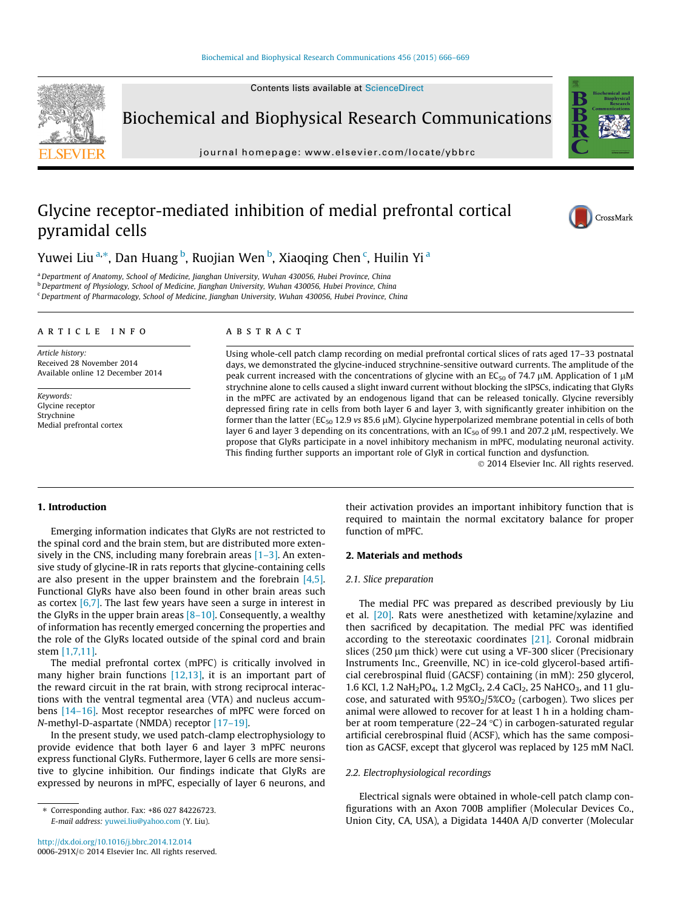Contents lists available at [ScienceDirect](http://www.sciencedirect.com/science/journal/0006291X)



Biochemical and Biophysical Research Communications

journal homepage: [www.elsevier.com/locate/ybbrc](http://www.elsevier.com/locate/ybbrc)



# Glycine receptor-mediated inhibition of medial prefrontal cortical pyramidal cells



Yuwei Liu $^{\mathrm{a},\ast}$ , Dan Huang $^{\mathrm{b}}$ , Ruojian Wen $^{\mathrm{b}}$ , Xiaoqing Chen $^{\mathrm{c}}$ , Huilin Yi $^{\mathrm{a}}$ 

a Department of Anatomy, School of Medicine, Jianghan University, Wuhan 430056, Hubei Province, China <sup>b</sup> Department of Physiology, School of Medicine, Jianghan University, Wuhan 430056, Hubei Province, China

<sup>c</sup> Department of Pharmacology, School of Medicine, Jianghan University, Wuhan 430056, Hubei Province, China

## article info

Article history: Received 28 November 2014 Available online 12 December 2014

Keywords: Glycine receptor Strychnine Medial prefrontal cortex

# ABSTRACT

Using whole-cell patch clamp recording on medial prefrontal cortical slices of rats aged 17–33 postnatal days, we demonstrated the glycine-induced strychnine-sensitive outward currents. The amplitude of the peak current increased with the concentrations of glycine with an EC<sub>50</sub> of 74.7  $\mu$ M. Application of 1  $\mu$ M strychnine alone to cells caused a slight inward current without blocking the sIPSCs, indicating that GlyRs in the mPFC are activated by an endogenous ligand that can be released tonically. Glycine reversibly depressed firing rate in cells from both layer 6 and layer 3, with significantly greater inhibition on the former than the latter (EC<sub>50</sub> 12.9 vs 85.6  $\mu$ M). Glycine hyperpolarized membrane potential in cells of both layer 6 and layer 3 depending on its concentrations, with an  $IC_{50}$  of 99.1 and 207.2  $\mu$ M, respectively. We propose that GlyRs participate in a novel inhibitory mechanism in mPFC, modulating neuronal activity. This finding further supports an important role of GlyR in cortical function and dysfunction.

- 2014 Elsevier Inc. All rights reserved.

## 1. Introduction

Emerging information indicates that GlyRs are not restricted to the spinal cord and the brain stem, but are distributed more extensively in the CNS, including many forebrain areas  $[1-3]$ . An extensive study of glycine-IR in rats reports that glycine-containing cells are also present in the upper brainstem and the forebrain [\[4,5\].](#page-3-0) Functional GlyRs have also been found in other brain areas such as cortex  $[6,7]$ . The last few years have seen a surge in interest in the GlyRs in the upper brain areas  $[8-10]$ . Consequently, a wealthy of information has recently emerged concerning the properties and the role of the GlyRs located outside of the spinal cord and brain stem [\[1,7,11\].](#page-3-0)

The medial prefrontal cortex (mPFC) is critically involved in many higher brain functions [\[12,13\]](#page-3-0), it is an important part of the reward circuit in the rat brain, with strong reciprocal interactions with the ventral tegmental area (VTA) and nucleus accumbens [\[14–16\].](#page-3-0) Most receptor researches of mPFC were forced on N-methyl-D-aspartate (NMDA) receptor [\[17–19\]](#page-3-0).

In the present study, we used patch-clamp electrophysiology to provide evidence that both layer 6 and layer 3 mPFC neurons express functional GlyRs. Futhermore, layer 6 cells are more sensitive to glycine inhibition. Our findings indicate that GlyRs are expressed by neurons in mPFC, especially of layer 6 neurons, and their activation provides an important inhibitory function that is required to maintain the normal excitatory balance for proper function of mPFC.

### 2. Materials and methods

#### 2.1. Slice preparation

The medial PFC was prepared as described previously by Liu et al. [\[20\].](#page-3-0) Rats were anesthetized with ketamine/xylazine and then sacrificed by decapitation. The medial PFC was identified according to the stereotaxic coordinates  $[21]$ . Coronal midbrain slices (250 µm thick) were cut using a VF-300 slicer (Precisionary Instruments Inc., Greenville, NC) in ice-cold glycerol-based artificial cerebrospinal fluid (GACSF) containing (in mM): 250 glycerol, 1.6 KCl, 1.2 NaH<sub>2</sub>PO<sub>4</sub>, 1.2 MgCl<sub>2</sub>, 2.4 CaCl<sub>2</sub>, 25 NaHCO<sub>3</sub>, and 11 glucose, and saturated with  $95\%O<sub>2</sub>/5\%CO<sub>2</sub>$  (carbogen). Two slices per animal were allowed to recover for at least 1 h in a holding chamber at room temperature (22–24  $\degree$ C) in carbogen-saturated regular artificial cerebrospinal fluid (ACSF), which has the same composition as GACSF, except that glycerol was replaced by 125 mM NaCl.

# 2.2. Electrophysiological recordings

Electrical signals were obtained in whole-cell patch clamp configurations with an Axon 700B amplifier (Molecular Devices Co., Union City, CA, USA), a Digidata 1440A A/D converter (Molecular

<sup>⇑</sup> Corresponding author. Fax: +86 027 84226723. E-mail address: [yuwei.liu@yahoo.com](mailto:yuwei.liu@yahoo.com) (Y. Liu).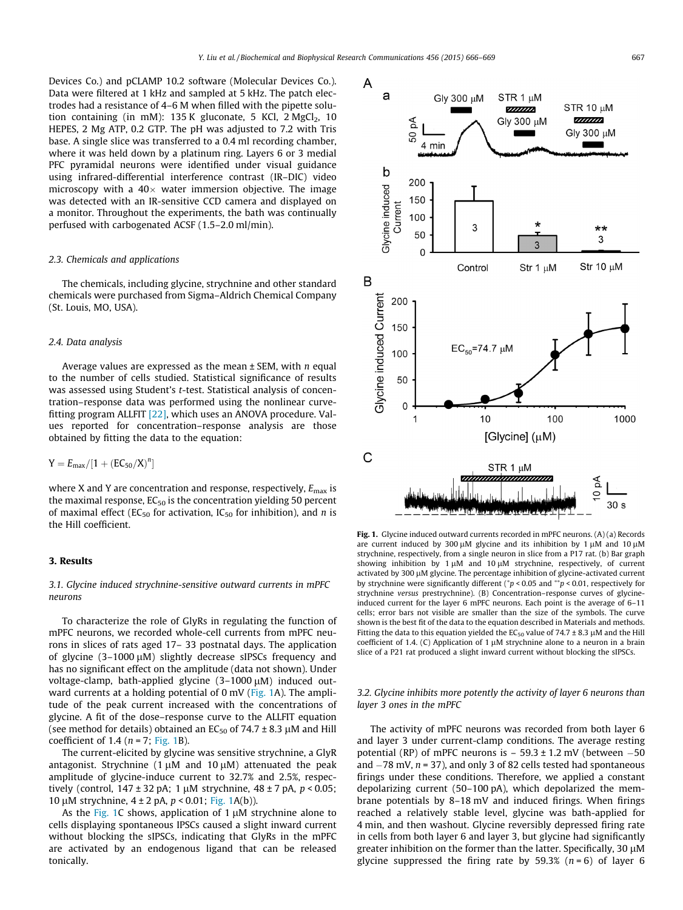Devices Co.) and pCLAMP 10.2 software (Molecular Devices Co.). Data were filtered at 1 kHz and sampled at 5 kHz. The patch electrodes had a resistance of 4–6 M when filled with the pipette solution containing (in mM):  $135$  K gluconate, 5 KCl,  $2$  MgCl<sub>2</sub>,  $10$ HEPES, 2 Mg ATP, 0.2 GTP. The pH was adjusted to 7.2 with Tris base. A single slice was transferred to a 0.4 ml recording chamber, where it was held down by a platinum ring. Layers 6 or 3 medial PFC pyramidal neurons were identified under visual guidance using infrared-differential interference contrast (IR–DIC) video microscopy with a 40 $\times$  water immersion objective. The image was detected with an IR-sensitive CCD camera and displayed on a monitor. Throughout the experiments, the bath was continually perfused with carbogenated ACSF (1.5–2.0 ml/min).

#### 2.3. Chemicals and applications

The chemicals, including glycine, strychnine and other standard chemicals were purchased from Sigma–Aldrich Chemical Company (St. Louis, MO, USA).

#### 2.4. Data analysis

Average values are expressed as the mean  $\pm$  SEM, with n equal to the number of cells studied. Statistical significance of results was assessed using Student's t-test. Statistical analysis of concentration–response data was performed using the nonlinear curvefitting program ALLFIT [\[22\]](#page-3-0), which uses an ANOVA procedure. Values reported for concentration–response analysis are those obtained by fitting the data to the equation:

$$
Y=E_{max}/[1+\left( EC_{50}/X\right) ^n]
$$

where X and Y are concentration and response, respectively,  $E_{\text{max}}$  is the maximal response,  $EC_{50}$  is the concentration yielding 50 percent of maximal effect (EC<sub>50</sub> for activation, IC<sub>50</sub> for inhibition), and *n* is the Hill coefficient.

# 3. Results

# 3.1. Glycine induced strychnine-sensitive outward currents in mPFC neurons

To characterize the role of GlyRs in regulating the function of mPFC neurons, we recorded whole-cell currents from mPFC neurons in slices of rats aged 17– 33 postnatal days. The application of glycine  $(3-1000 \mu M)$  slightly decrease sIPSCs frequency and has no significant effect on the amplitude (data not shown). Under voltage-clamp, bath-applied glycine  $(3-1000 \mu M)$  induced outward currents at a holding potential of 0 mV (Fig. 1A). The amplitude of the peak current increased with the concentrations of glycine. A fit of the dose–response curve to the ALLFIT equation (see method for details) obtained an  $EC_{50}$  of 74.7 ± 8.3 µM and Hill coefficient of 1.4 ( $n = 7$ ; Fig. 1B).

The current-elicited by glycine was sensitive strychnine, a GlyR antagonist. Strychnine  $(1 \mu M)$  and  $(10 \mu M)$  attenuated the peak amplitude of glycine-induce current to 32.7% and 2.5%, respectively (control,  $147 \pm 32$  pA; 1  $\mu$ M strychnine,  $48 \pm 7$  pA,  $p < 0.05$ ; 10 μM strychnine,  $4 ± 2 pA$ ,  $p < 0.01$ ; Fig. 1A(b)).

As the Fig. 1C shows, application of 1  $\mu$ M strychnine alone to cells displaying spontaneous IPSCs caused a slight inward current without blocking the sIPSCs, indicating that GlyRs in the mPFC are activated by an endogenous ligand that can be released tonically.



Fig. 1. Glycine induced outward currents recorded in mPFC neurons. (A) (a) Records are current induced by 300  $\mu$ M glycine and its inhibition by 1  $\mu$ M and 10  $\mu$ M strychnine, respectively, from a single neuron in slice from a P17 rat. (b) Bar graph showing inhibition by  $1 \mu M$  and  $10 \mu M$  strychnine, respectively, of current activated by 300  $\mu$ M glycine. The percentage inhibition of glycine-activated current by strychnine were significantly different ( $p$  < 0.05 and  $^{**}p$  < 0.01, respectively for strychnine versus prestrychnine). (B) Concentration–response curves of glycineinduced current for the layer 6 mPFC neurons. Each point is the average of 6–11 cells; error bars not visible are smaller than the size of the symbols. The curve shown is the best fit of the data to the equation described in Materials and methods. Fitting the data to this equation yielded the  $EC_{50}$  value of 74.7  $\pm$  8.3 µM and the Hill coefficient of 1.4. (C) Application of 1  $\mu$ M strychnine alone to a neuron in a brain slice of a P21 rat produced a slight inward current without blocking the sIPSCs.

# 3.2. Glycine inhibits more potently the activity of layer 6 neurons than layer 3 ones in the mPFC

The activity of mPFC neurons was recorded from both layer 6 and layer 3 under current-clamp conditions. The average resting potential (RP) of mPFC neurons is  $-59.3 \pm 1.2$  mV (between  $-50$ and  $-78$  mV,  $n = 37$ ), and only 3 of 82 cells tested had spontaneous firings under these conditions. Therefore, we applied a constant depolarizing current (50–100 pA), which depolarized the membrane potentials by 8–18 mV and induced firings. When firings reached a relatively stable level, glycine was bath-applied for 4 min, and then washout. Glycine reversibly depressed firing rate in cells from both layer 6 and layer 3, but glycine had significantly greater inhibition on the former than the latter. Specifically,  $30 \mu M$ glycine suppressed the firing rate by 59.3%  $(n = 6)$  of layer 6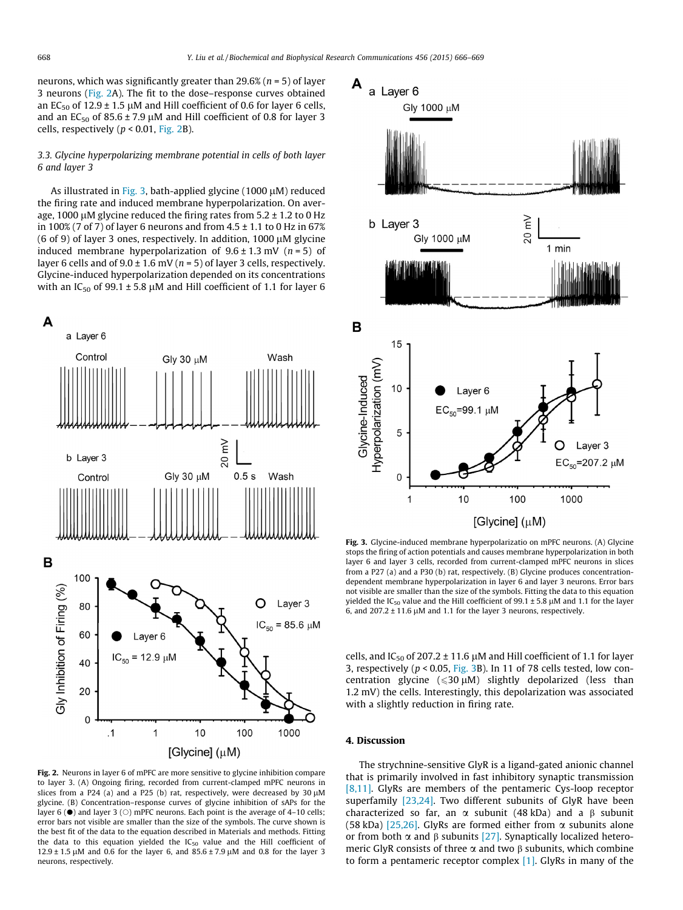neurons, which was significantly greater than  $29.6\%$  ( $n = 5$ ) of layer 3 neurons (Fig. 2A). The fit to the dose–response curves obtained an EC<sub>50</sub> of 12.9  $\pm$  1.5  $\mu$ M and Hill coefficient of 0.6 for layer 6 cells, and an  $EC_{50}$  of  $85.6 \pm 7.9 \mu M$  and Hill coefficient of 0.8 for layer 3 cells, respectively  $(p < 0.01,$  Fig. 2B).

# 3.3. Glycine hyperpolarizing membrane potential in cells of both layer 6 and layer 3

As illustrated in Fig. 3, bath-applied glycine (1000 µM) reduced the firing rate and induced membrane hyperpolarization. On average, 1000 µM glycine reduced the firing rates from  $5.2 \pm 1.2$  to 0 Hz in 100% (7 of 7) of layer 6 neurons and from  $4.5 \pm 1.1$  to 0 Hz in 67% (6 of 9) of layer 3 ones, respectively. In addition,  $1000 \mu M$  glycine induced membrane hyperpolarization of  $9.6 \pm 1.3$  mV ( $n = 5$ ) of layer 6 cells and of  $9.0 \pm 1.6$  mV ( $n = 5$ ) of layer 3 cells, respectively. Glycine-induced hyperpolarization depended on its concentrations with an  $IC_{50}$  of 99.1  $\pm$  5.8 µM and Hill coefficient of 1.1 for layer 6



Fig. 2. Neurons in layer 6 of mPFC are more sensitive to glycine inhibition compare to layer 3. (A) Ongoing firing, recorded from current-clamped mPFC neurons in slices from a P24 (a) and a P25 (b) rat, respectively, were decreased by 30  $\mu$ M glycine. (B) Concentration–response curves of glycine inhibition of sAPs for the layer 6 ( $\bullet$ ) and layer 3 ( $\circ$ ) mPFC neurons. Each point is the average of 4–10 cells; error bars not visible are smaller than the size of the symbols. The curve shown is the best fit of the data to the equation described in Materials and methods. Fitting the data to this equation yielded the  $IC_{50}$  value and the Hill coefficient of  $12.9 \pm 1.5 \,\mu$ M and 0.6 for the layer 6, and  $85.6 \pm 7.9 \,\mu$ M and 0.8 for the layer 3 neurons, respectively.



Fig. 3. Glycine-induced membrane hyperpolarizatio on mPFC neurons. (A) Glycine stops the firing of action potentials and causes membrane hyperpolarization in both layer 6 and layer 3 cells, recorded from current-clamped mPFC neurons in slices from a P27 (a) and a P30 (b) rat, respectively. (B) Glycine produces concentrationdependent membrane hyperpolarization in layer 6 and layer 3 neurons. Error bars not visible are smaller than the size of the symbols. Fitting the data to this equation yielded the IC<sub>50</sub> value and the Hill coefficient of 99.1  $\pm$  5.8 µM and 1.1 for the layer 6, and  $207.2 \pm 11.6 \,\mu\text{M}$  and 1.1 for the layer 3 neurons, respectively.

cells, and IC<sub>50</sub> of 207.2  $\pm$  11.6 µM and Hill coefficient of 1.1 for layer 3, respectively ( $p < 0.05$ , Fig. 3B). In 11 of 78 cells tested, low concentration glycine ( $\leqslant$ 30 µM) slightly depolarized (less than 1.2 mV) the cells. Interestingly, this depolarization was associated with a slightly reduction in firing rate.

# 4. Discussion

The strychnine-sensitive GlyR is a ligand-gated anionic channel that is primarily involved in fast inhibitory synaptic transmission [\[8,11\].](#page-3-0) GlyRs are members of the pentameric Cys-loop receptor superfamily [\[23,24\].](#page-3-0) Two different subunits of GlyR have been characterized so far, an  $\alpha$  subunit (48 kDa) and a  $\beta$  subunit (58 kDa) [\[25,26\]](#page-3-0). GlyRs are formed either from  $\alpha$  subunits alone or from both  $\alpha$  and  $\beta$  subunits [\[27\].](#page-3-0) Synaptically localized heteromeric GlyR consists of three  $\alpha$  and two  $\beta$  subunits, which combine to form a pentameric receptor complex  $[1]$ . GlyRs in many of the